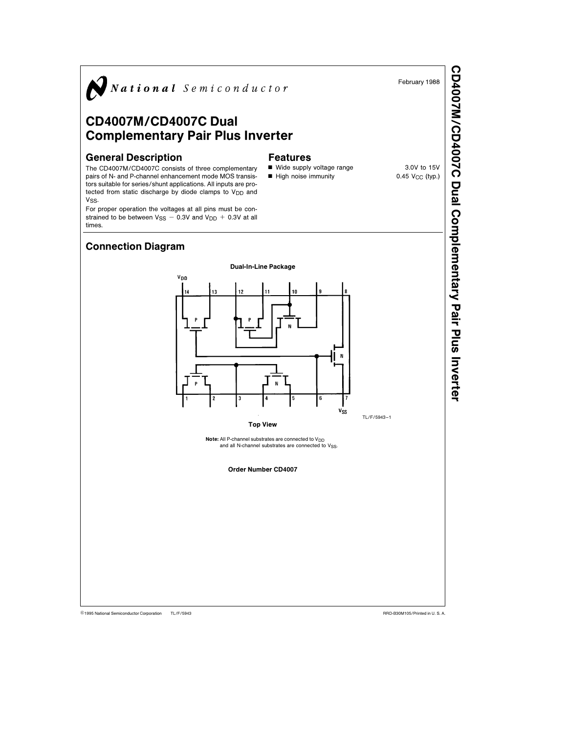

C1995 National Semiconductor Corporation TL/F/5943 **Canadia According to the Corporation RRD-B30M105/Printed in U. S. A.**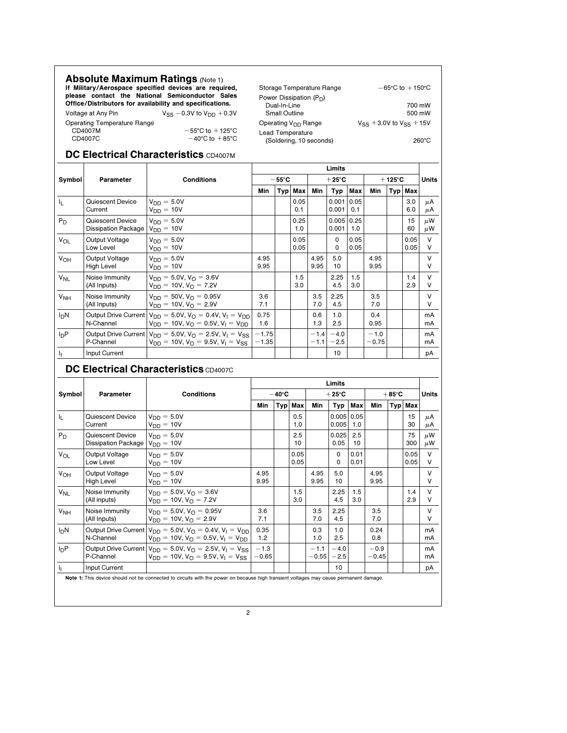| <b>Absolute Maximum Ratings (Note 1)</b> | If Military/Aerospace specified devices are required,<br>please contact the National Semiconductor Sales<br>Office/Distributors for availability and specifications. | Storage Temperature Range<br>Power Dissipation $(P_D)$<br>Dual-In-Line | $-65^{\circ}$ C to $+150^{\circ}$ C<br>700 mW |
|------------------------------------------|----------------------------------------------------------------------------------------------------------------------------------------------------------------------|------------------------------------------------------------------------|-----------------------------------------------|
| Voltage at Any Pin                       | $V_{SS}$ -0.3V to $V_{DD}$ +0.3V                                                                                                                                     | Small Outline                                                          | 500 mW                                        |
| Operating Temperature Range<br>CD4007M   | $-55^{\circ}$ C to $+125^{\circ}$ C                                                                                                                                  | Operating V <sub>DD</sub> Range<br>Lead Temperature                    | $V_{SS}$ + 3.0V to $V_{SS}$ + 15V             |
| CD4007C                                  | $-40^{\circ}$ C to $+85^{\circ}$ C                                                                                                                                   | (Soldering, 10 seconds)                                                | $260^{\circ}$ C                               |

## DC Electrical Characteristics CD4007M

|                       |                                         |                                                                                                                                                        |                    |                 |              |                  | Limits                    |              |                   |                  |              |                  |
|-----------------------|-----------------------------------------|--------------------------------------------------------------------------------------------------------------------------------------------------------|--------------------|-----------------|--------------|------------------|---------------------------|--------------|-------------------|------------------|--------------|------------------|
| Symbol                | Parameter                               | <b>Conditions</b>                                                                                                                                      |                    | $-55^{\circ}$ C |              |                  | $+25^{\circ}$ C           |              |                   | $+125^{\circ}$ C |              | <b>Units</b>     |
|                       |                                         |                                                                                                                                                        | Min                |                 | Typ Max      | Min              | Typ                       | Max          | Min               |                  | Typ   Max    |                  |
| Ч.                    | Quiescent Device<br>Current             | $V_{DD} = 5.0V$<br>$V_{DD} = 10V$                                                                                                                      |                    |                 | 0.05<br>0.1  |                  | $0.001$   $0.05$<br>0.001 | 0.1          |                   |                  | 3.0<br>6.0   | μA<br>μA         |
| $P_D$                 | Quiescent Device<br>Dissipation Package | $V_{DD} = 5.0V$<br>$V_{DD} = 10V$                                                                                                                      |                    |                 | 0.25<br>1.0  |                  | 0.005 0.25<br>0.001       | 1.0          |                   |                  | 15<br>60     | $\mu$ W<br>μW    |
| $V_{OL}$              | Output Voltage<br>Low Level             | $V_{DD} = 5.0V$<br>$V_{DD} = 10V$                                                                                                                      |                    |                 | 0.05<br>0.05 |                  | $\Omega$<br>0             | 0.05<br>0.05 |                   |                  | 0.05<br>0.05 | $\vee$<br>V      |
| V <sub>OH</sub>       | Output Voltage<br>High Level            | $V_{DD} = 5.0V$<br>$V_{DD} = 10V$                                                                                                                      | 4.95<br>9.95       |                 |              | 4.95<br>9.95     | 5.0<br>10                 |              | 4.95<br>9.95      |                  |              | $\vee$<br>$\vee$ |
| <b>V<sub>NL</sub></b> | Noise Immunity<br>(All Inputs)          | $V_{DD} = 5.0V$ , $V_{\Omega} = 3.6V$<br>$V_{DD} = 10V$ , $V_{O} = 7.2V$                                                                               |                    |                 | 1.5<br>3.0   |                  | 2.25<br>4.5               | 1.5<br>3.0   |                   |                  | 1.4<br>2.9   | $\vee$<br>$\vee$ |
| V <sub>NH</sub>       | Noise Immunity<br>(All Inputs)          | $V_{DD} = 50V, V_{\Omega} = 0.95V$<br>$V_{DD} = 10V$ , $V_{\Omega} = 2.9V$                                                                             | 3.6<br>7.1         |                 |              | 3.5<br>7.0       | 2.25<br>4.5               |              | 3.5<br>7.0        |                  |              | $\vee$<br>V      |
| $I_{D}N$              | N-Channel                               | Output Drive Current $V_{DD} = 5.0V$ , $V_{\Omega} = 0.4V$ , $V_{\text{I}} = V_{\text{DD}}$<br>$V_{DD} = 10V$ , $V_{\Omega} = 0.5V$ , $V_{I} = V_{DD}$ | 0.75<br>1.6        |                 |              | 0.6<br>1.3       | 1.0<br>2.5                |              | 0.4<br>0.95       |                  |              | mA<br>mA         |
| $I_{D}P$              | P-Channel                               | Output Drive Current $V_{DD} = 5.0V$ , $V_{\Omega} = 2.5V$ , $V_{\Gamma} = V_{SS}$<br>$V_{DD} = 10V$ , $V_{\Omega} = 9.5V$ , $V_{\Gamma} = V_{SS}$     | $-1.75$<br>$-1.35$ |                 |              | $-1.4$<br>$-1.1$ | $-4.0$<br>$-2.5$          |              | $-1.0$<br>$-0.75$ |                  |              | mA<br>mA         |
| h,                    | Input Current                           |                                                                                                                                                        |                    |                 |              |                  | 10                        |              |                   |                  |              | рA               |

## DC Electrical Characteristics CD4007C

|                  |                                                        |                                                                                                                                                             | Limits            |                 |              |                   |                       |              |                   |                 |              |                  |
|------------------|--------------------------------------------------------|-------------------------------------------------------------------------------------------------------------------------------------------------------------|-------------------|-----------------|--------------|-------------------|-----------------------|--------------|-------------------|-----------------|--------------|------------------|
| Symbol           | Parameter                                              | <b>Conditions</b>                                                                                                                                           |                   | $-40^{\circ}$ C |              |                   | $+25^{\circ}$ C       |              |                   | $+85^{\circ}$ C |              | <b>Units</b>     |
|                  |                                                        |                                                                                                                                                             | Min               |                 | Typ   Max    | Min               | Typ                   | Max          | Min               |                 | Typ   Max    |                  |
| 4                | Quiescent Device<br>Current                            | $V_{DD} = 5.0V$<br>$V_{DD} = 10V$                                                                                                                           |                   |                 | 0.5<br>1.0   |                   | $0.005$ 0.05<br>0.005 | 1.0          |                   |                 | 15<br>30     | μA<br>μA         |
| $P_D$            | Quiescent Device<br>Dissipation Package $V_{DD} = 10V$ | $V_{DD} = 5.0V$                                                                                                                                             |                   |                 | 2.5<br>10    |                   | 0.025<br>0.05         | 2.5<br>10    |                   |                 | 75<br>300    | $\mu$ W<br>μW    |
| V <sub>OL</sub>  | Output Voltage<br>Low Level                            | $V_{DD} = 5.0V$<br>$V_{DD} = 10V$                                                                                                                           |                   |                 | 0.05<br>0.05 |                   | 0<br>0                | 0.01<br>0.01 |                   |                 | 0.05<br>0.05 | $\vee$<br>$\vee$ |
| $V_{OH}$         | Output Voltage<br><b>High Level</b>                    | $V_{DD} = 5.0V$<br>$V_{DD} = 10V$                                                                                                                           | 4.95<br>9.95      |                 |              | 4.95<br>9.95      | 5.0<br>10             |              | 4.95<br>9.95      |                 |              | V<br>V           |
| $V_{NL}$         | Noise Immunity<br>(All inputs)                         | $V_{DD} = 5.0V$ , $V_{O} = 3.6V$<br>$V_{DD} = 10V, V_{O} = 7.2V$                                                                                            |                   |                 | 1.5<br>3.0   |                   | 2.25<br>4.5           | 1.5<br>3.0   |                   |                 | 1.4<br>2.9   | $\vee$<br>$\vee$ |
| V <sub>NH</sub>  | Noise Immunity<br>(All Inputs)                         | $V_{DD} = 5.0V$ , $V_{\Omega} = 0.95V$<br>$V_{DD} = 10V, V_{O} = 2.9V$                                                                                      | 3.6<br>7.1        |                 |              | 3.5<br>7.0        | 2.25<br>4.5           |              | 3.5<br>7.0        |                 |              | V<br>$\vee$      |
| I <sub>D</sub> N | N-Channel                                              | Output Drive Current $V_{DD} = 5.0V$ , $V_{\Omega} = 0.4V$ , $V_{\Gamma} = V_{DD}$<br>$V_{DD} = 10V$ , $V_{\Omega} = 0.5V$ , $V_{\text{I}} = V_{\text{DD}}$ | 0.35<br>1.2       |                 |              | 0.3<br>1.0        | 1.0<br>2.5            |              | 0.24<br>0.8       |                 |              | mA<br>mA         |
| $I_{D}P$         | P-Channel                                              | Output Drive Current $V_{DD} = 5.0V$ , $V_{\Omega} = 2.5V$ , $V_{\text{I}} = V_{SS}$<br>$V_{DD} = 10V$ , $V_{\Omega} = 9.5V$ , $V_{\text{I}} = V_{SS}$      | $-1.3$<br>$-0.65$ |                 |              | $-1.1$<br>$-0.55$ | $-4.0$<br>$-2.5$      |              | $-0.9$<br>$-0.45$ |                 |              | mA<br>mA         |
| 4                | Input Current                                          |                                                                                                                                                             |                   |                 |              |                   | 10                    |              |                   |                 |              | рA               |
|                  |                                                        | Note 1: This device should not be connected to circuits with the power on because high transient voltages may cause permanent damage.                       |                   |                 |              |                   |                       |              |                   |                 |              |                  |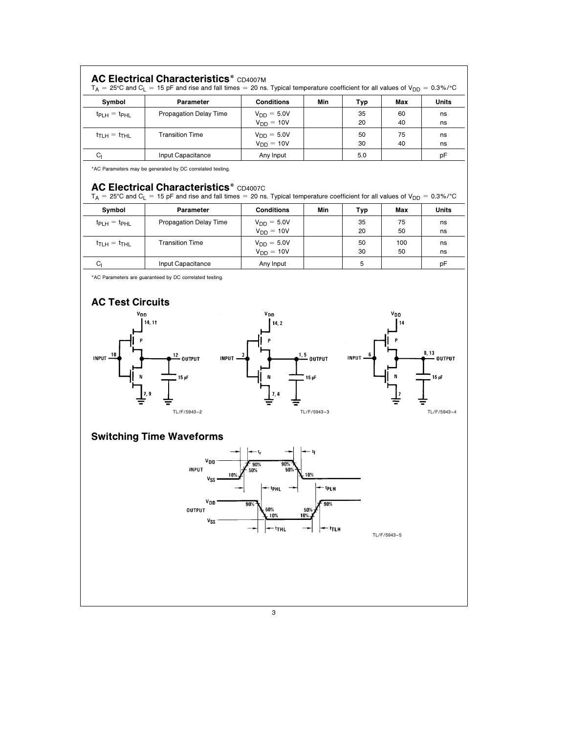| $tp_{LH} = tp_{HL}$               | Parameter                                                                                                                                                    | <b>Conditions</b>                 | Min                       | Typ          | Max         | Units                        |
|-----------------------------------|--------------------------------------------------------------------------------------------------------------------------------------------------------------|-----------------------------------|---------------------------|--------------|-------------|------------------------------|
|                                   | Propagation Delay Time                                                                                                                                       | $V_{DD} = 5.0V$<br>$V_{DD} = 10V$ |                           | 35<br>20     | 60<br>40    | ns<br>ns                     |
| $t_{\text{TLH}} = t_{\text{THL}}$ | <b>Transition Time</b>                                                                                                                                       | $V_{DD} = 5.0V$                   |                           | 50           | 75          | ns                           |
| $C_{1}$                           | Input Capacitance                                                                                                                                            | $V_{DD} = 10V$<br>Any Input       |                           | 30<br>5.0    | 40          | ns<br>pF                     |
|                                   | *AC Parameters may be generated by DC correlated testing.<br><b>AC Electrical Characteristics* CD4007C</b>                                                   |                                   |                           |              |             |                              |
|                                   | $T_A = 25^{\circ}$ C and C <sub>L</sub> = 15 pF and rise and fall times = 20 ns. Typical temperature coefficient for all values of V <sub>DD</sub> = 0.3%/°C |                                   |                           |              |             |                              |
| Symbol                            | Parameter                                                                                                                                                    | <b>Conditions</b>                 | Min                       | Typ          | Max         | Units                        |
| $t_{\text{PLH}} = t_{\text{PHL}}$ | Propagation Delay Time                                                                                                                                       | $V_{DD} = 5.0V$<br>$V_{DD} = 10V$ |                           | 35<br>20     | 75<br>50    | ns<br>ns                     |
| $t_{\text{TLH}} = t_{\text{THL}}$ | <b>Transition Time</b>                                                                                                                                       | $V_{DD} = 5.0V$<br>$V_{DD} = 10V$ |                           | 50<br>30     | 100<br>50   | ns<br>ns                     |
| $C_{1}$                           | Input Capacitance                                                                                                                                            | Any Input                         |                           | 5            |             | pF                           |
|                                   | 12<br><b>OUTPUT</b><br><b>INPUT</b><br>15 pF                                                                                                                 | 1, 5                              | <b>OUTPUT</b><br>15 pF    | <b>INPUT</b> |             | 8, 13<br>15pF                |
|                                   | TL/F/5943-2                                                                                                                                                  | 7,4                               | TL/F/5943-3               |              |             |                              |
|                                   | <b>Switching Time Waveforms</b>                                                                                                                              |                                   |                           |              |             |                              |
|                                   | Voo<br><b>INPUT</b><br>1 U 2<br>Vss                                                                                                                          | 90%<br>90%<br>50%<br>50%          |                           |              |             | <b>OUTPUT</b><br>TL/F/5943-4 |
|                                   | $v_{DD}$<br><b>OUTPUT</b><br>Vss                                                                                                                             | 90%<br>10%                        | tpLH<br>90%<br>50%<br>10% |              |             |                              |
|                                   |                                                                                                                                                              | <sup>t</sup> THL                  | <sup>- t</sup> tlh        |              | TL/F/5943-5 |                              |